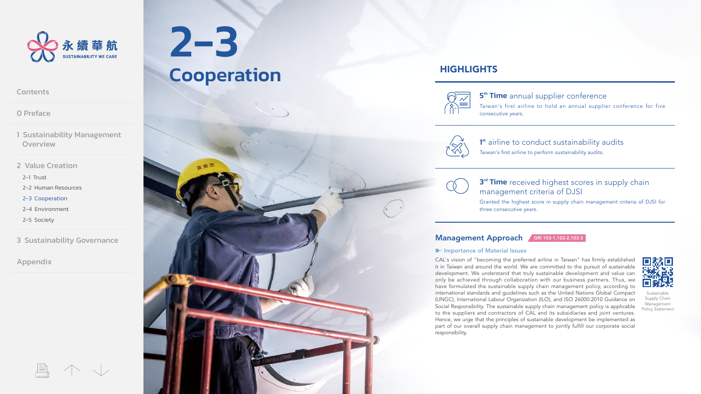<span id="page-0-0"></span>

[0 Preface](#page--1-0)

[1 Sustainability Management](#page--1-0)  **Overview** 

[2 Value Creation](#page--1-0)

[2-1 Trust](#page--1-0)

[2-2 Human Resources](#page--1-0)

2-3 Cooperation

[2-4 Environment](#page--1-0)

[2-5 Society](#page--1-0)

[3 Sustainability Governance](#page--1-0)

[Appendix](#page--1-0)

2-3 **Cooperation** 

# **HIGHLIGHTS**



5<sup>th</sup> Time annual supplier conference

Taiwan's first airline to hold an annual supplier conference for five consecutive years.



1<sup>st</sup> airline to conduct sustainability audits Taiwan's first airline to perform sustainability audits.

3<sup>rd</sup> Time received highest scores in supply chain management criteria of DJSI

Granted the highest score in supply chain management criteria of DJSI for three consecutive years.

### Management Approach GRI 103-1,103-2,103-3

### **E-Importance of Material Issues**

CAL's vision of "becoming the preferred airline in Taiwan" has firmly established it in Taiwan and around the world. We are committed to the pursuit of sustainable development. We understand that truly sustainable development and value can only be achieved through collaboration with our business partners. Thus, we have formulated the sustainable supply chain management policy, according to international standards and guidelines such as the United Nations Global Compact (UNGC), International Labour Organization (ILO), and ISO 26000:2010 Guidance on Social Responsibility. The sustainable supply chain management policy is applicable to the suppliers and contractors of CAL and its subsidiaries and joint ventures. Hence, we urge that the principles of sustainable development be implemented as part of our overall supply chain management to jointly fulfill our corporate social responsibility.



Sustainable Supply Chain Management Policy Statement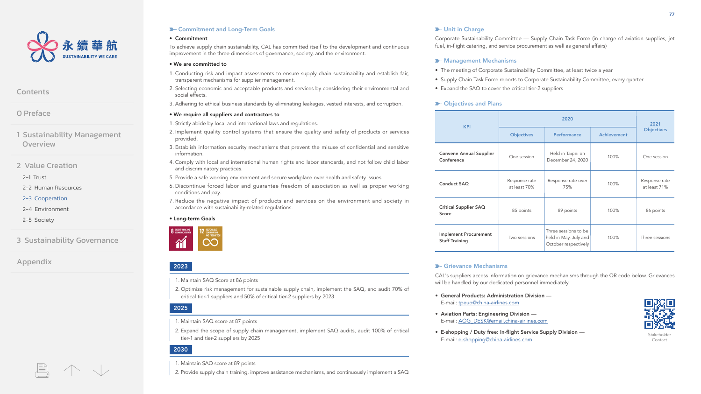

[0 Preface](#page--1-0)

[1 Sustainability Management](#page--1-0)  **Overview** 

[2 Value Creation](#page--1-0)

[2-1 Trust](#page--1-0)

[2-2 Human Resources](#page--1-0)

[2-3 Cooperation](#page-0-0)

[2-4 Environment](#page--1-0)

[2-5 Society](#page--1-0)

[3 Sustainability Governance](#page--1-0)

[Appendix](#page--1-0)

### **D** Commitment and Long-Term Goals **Department and Long-Term Goals** Unit in Charge

#### • Commitment

To achieve supply chain sustainability, CAL has committed itself to the development and continuous improvement in the three dimensions of governance, society, and the environment.

#### • We are committed to

- 1. Conducting risk and impact assessments to ensure supply chain sustainability and establish fair, transparent mechanisms for supplier management.
- 2. Selecting economic and acceptable products and services by considering their environmental and social effects.
- 3. Adhering to ethical business standards by eliminating leakages, vested interests, and corruption.

### • We require all suppliers and contractors to

1. Strictly abide by local and international laws and regulations.

- 2. Implement quality control systems that ensure the quality and safety of products or services provided.
- 3. Establish information security mechanisms that prevent the misuse of confidential and sensitive information.
- 4. Comply with local and international human rights and labor standards, and not follow child labor and discriminatory practices.
- 5. Provide a safe working environment and secure workplace over health and safety issues.
- 6. Discontinue forced labor and guarantee freedom of association as well as proper working conditions and pay.
- 7. Reduce the negative impact of products and services on the environment and society in accordance with sustainability-related regulations.

### • Long-term Goals



### 2023

- 1. Maintain SAQ Score at 86 points
- 2. Optimize risk management for sustainable supply chain, implement the SAQ, and audit 70% of critical tier-1 suppliers and 50% of critical tier-2 suppliers by 2023

### 2025

- 1. Maintain SAQ score at 87 points
- 2. Expand the scope of supply chain management, implement SAQ audits, audit 100% of critical tier-1 and tier-2 suppliers by 2025

### 2030

### 1. Maintain SAQ score at 89 points

2. Provide supply chain training, improve assistance mechanisms, and continuously implement a SAQ

Corporate Sustainability Committee — Supply Chain Task Force (in charge of aviation supplies, jet fuel, in-flight catering, and service procurement as well as general affairs)

### **X-Management Mechanisms**

- The meeting of Corporate Sustainability Committee, at least twice a year
- Supply Chain Task Force reports to Corporate Sustainability Committee, every quarter
- Expand the SAQ to cover the critical tier-2 suppliers

### **>** Objectives and Plans

| <b>KPI</b>                                     | 2020                          |                                                                       |                    | 2021                          |
|------------------------------------------------|-------------------------------|-----------------------------------------------------------------------|--------------------|-------------------------------|
|                                                | <b>Objectives</b>             | Performance                                                           | <b>Achievement</b> | <b>Objectives</b>             |
| <b>Convene Annual Supplier</b><br>Conference   | One session                   | Held in Taipei on<br>December 24, 2020                                | 100%               | One session                   |
| Conduct SAQ                                    | Response rate<br>at least 70% | Response rate over<br>75%                                             | 100%               | Response rate<br>at least 71% |
| Critical Supplier SAQ<br>Score                 | 85 points                     | 89 points                                                             | 100%               | 86 points                     |
| Implement Procurement<br><b>Staff Training</b> | Two sessions                  | Three sessions to be<br>held in May, July and<br>October respectively | 100%               | Three sessions                |

### **E-Grievance Mechanisms**

CAL's suppliers access information on grievance mechanisms through the QR code below. Grievances will be handled by our dedicated personnel immediately.

- General Products: Administration Division E-mail: [tpeuo@china-airlines.com](mailto:tpeuo@china-airlines.com)
- Aviation Parts: Engineering Division E-mail: [AOG\\_DESK@email.china-airlines.com](mailto:AOG_DESK@email.china-airlines.com)
- E-shopping / Duty free: In-flight Service Supply Division E-mail: [e-shopping@china-airlines.com](mailto:e-shopping@china-airlines.com)



Stakeholder Contact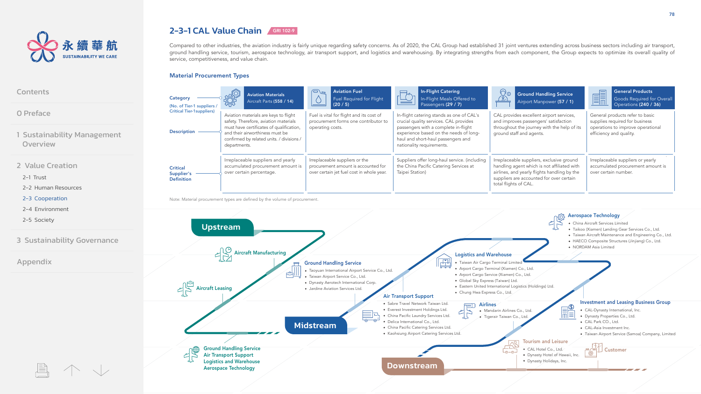

[1 Sustainability Management](#page--1-0) 

[3 Sustainability Governance](#page--1-0)

[0 Preface](#page--1-0)

**[Contents](#page--1-0)** 

**Overview** 

[2-1 Trust](#page--1-0)

[Appendix](#page--1-0)

[2 Value Creation](#page--1-0)

[2-2 Human Resources](#page--1-0) [2-3 Cooperation](#page-0-0) [2-4 Environment](#page--1-0) [2-5 Society](#page--1-0)

# 2-3-1 CAL Value Chain GRI 102-9

Ground Handling Service Air Transport Support Logistics and Warehouse Aerospace Technology

Compared to other industries, the aviation industry is fairly unique regarding safety concerns. As of 2020, the CAL Group had established 31 joint ventures extending across business sectors including air transport, ground handling service, tourism, aerospace technology, air transport support, and logistics and warehousing. By integrating strengths from each component, the Group expects to optimize its overall quality of service, competitiveness, and value chain.

### Material Procurement Types

#### $\bigcap_{\mathfrak{m}}$ Aviation Fuel In-Flight Catering **I** General Products  $\overline{\mathbb{Q}}$ o Aviation Materials  $\overline{\mathbb{C}}$ Ground Handling Service Category — Category Aviation Materials<br>Aircraft Parts (558 / 14)  $\Diamond$ Fuel Required for Flight In-Flight Meals Offered to  $(8)$ Goods Required for Overall Airport Manpower (57 / 1) (20 / 5) Passengers (29 / 7) Operations (240 / 36) (No. of Tier-1 suppliers / Critical Tier-1suppliers) Aviation materials are keys to flight Fuel is vital for flight and its cost of In-flight catering stands as one of CAL's CAL provides excellent airport services, General products refer to basic safety. Therefore, aviation materials procurement forms one contributor to crucial quality services. CAL provides and improves passengers' satisfaction supplies required for business must have certificates of qualification, operating costs. passengers with a complete in-flight throughout the journey with the help of its operations to improve operational Description and their airworthiness must be experience based on the needs of longground staff and agents. efficiency and quality. confirmed by related units. / divisions / haul and short-haul passengers and departments. nationality requirements. Irreplaceable suppliers and yearly Irreplaceable suppliers or the Suppliers offer long-haul service. (including Irreplaceable suppliers, exclusive ground Irreplaceable suppliers or yearly accumulated procurement amount is procurement amount is accounted for the China Pacific Catering Services at handling agent which is not affiliated with accumulated procurement amount is **Critical** over certain percentage. over certain jet fuel cost in whole year. Taipei Station) airlines, and yearly flights handling by the over certain number. Supplier's suppliers are accounted for over certain Definition total flights of CAL. Note: Material procurement types are defined by the volume of procurement. Aerospace Technology China Aircraft Services Limited Upstream Taikoo (Xiamen) Landing Gear Services Co., Ltd. Taiwan Aircraft Maintenance and Engineering Co., Ltd. HAECO Composite Structures (Jinjiang) Co., Ltd. • NORDAM Asia Limited Aircraft Manufacturing Logistics and Warehouse 畀 • Taiwan Air Cargo Terminal Limite Ground Handling Service Arport Cargo Terminal (Xiamen) Co., Ltd. Taoyuan International Airport Service Co., Ltd.  $\triangleleft$ Arport Cargo Service (Xiamen) Co., Ltd. Taiwan Airport Service Co., Ltd. Global Sky Express (Taiwan) Ltd. Dynasty Aerotech International Corp.  $\epsilon$  Aircraft Leasing Eastern United International Logistics (Holdings) Ltd. Jardine Aviation Services Ltd. Chung Hwa Express Co., Ltd. Air Transport Support Airlines<br>
• Mandarin Airlines Co., Ltd.<br>
• Tigerair Taiwan Co., Ltd.<br>
• Tigerair Taiwan Co., Ltd.<br>
• Dynasty Properties Co., Ltd. • Sabre Travel Network Taiwan Ltd. • Everest Investment Holdings Ltd. CAL-Dynasty International, Inc. Mandarin Airlines Co., Ltd. China Pacific Laundry Services Ltd. Dynasty Properties Co., Ltd. **Tigerair Taiwan Co., Ltd.** · Delica International Co., Ltd. CAL Park CO., Ltd. Midstream

- CAL-Asia Investment Inc.
- Taiwan Airport Service (Samoa) Company, Limited
- Customer Tourism and Leisure CAL Hotel Co., Ltd.

Dynasty Hotel of Hawaii, Inc. Dynasty Holidays, Inc.

فصيل

Downstream

China Pacific Catering Services Ltd. Kaohsiung Airport Catering Services Ltd.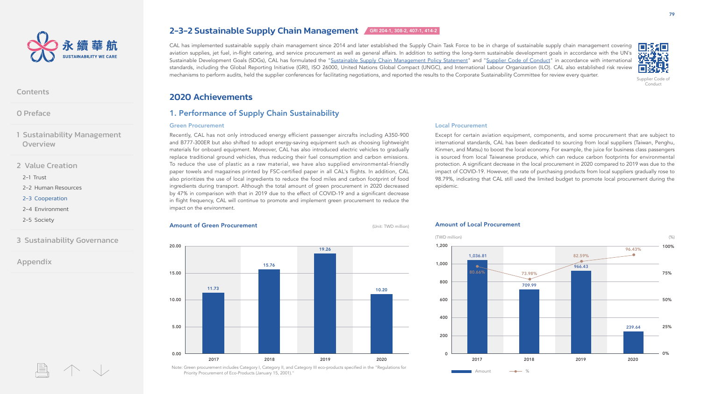

[0 Preface](#page--1-0)

[1 Sustainability Management](#page--1-0)  **Overview** 

[2 Value Creation](#page--1-0)

[2-1 Trust](#page--1-0)

[2-2 Human Resources](#page--1-0)

[2-3 Cooperation](#page-0-0)

[2-4 Environment](#page--1-0)

[2-5 Society](#page--1-0)

[3 Sustainability Governance](#page--1-0)

[Appendix](#page--1-0)

# 2-3-2 Sustainable Supply Chain Management GRI 204-1, 308-2, 407-1, 414-2

CAL has implemented sustainable supply chain management since 2014 and later established the Supply Chain Task Force to be in charge of sustainable supply chain management covering aviation supplies, jet fuel, in-flight catering, and service procurement as well as general affairs. In addition to setting the long-term sustainable development goals in accordance with the UN's Sustainable Development Goals (SDGs), CAL has formulated the ["Sustainable Supply Chain Management Policy Statement](https://calec.china-airlines.com/csr/en/download/pages/sustainable_supply_chain_management_policy_statement.pdf)" and "Supplier [Code of Conduct"](https://calec.china-airlines.com/csr/en/download/pages/supplier_code_of_conduct.pdf) in accordance with international standards, including the Global Reporting Initiative (GRI), ISO 26000, United Nations Global Compact (UNGC), and International Labour Organization (ILO). CAL also established risk review mechanisms to perform audits, held the supplier conferences for facilitating negotiations, and reported the results to the Corporate Sustainability Committee for review every quarter.



Conduct

### 2020 Achievements

### 1. Performance of Supply Chain Sustainability

#### Green Procurement

Recently, CAL has not only introduced energy efficient passenger aircrafts including A350-900 and B777-300ER but also shifted to adopt energy-saving equipment such as choosing lightweight materials for onboard equipment. Moreover, CAL has also introduced electric vehicles to gradually replace traditional ground vehicles, thus reducing their fuel consumption and carbon emissions. To reduce the use of plastic as a raw material, we have also supplied environmental-friendly paper towels and magazines printed by FSC-certified paper in all CAL's flights. In addition, CAL also prioritizes the use of local ingredients to reduce the food miles and carbon footprint of food ingredients during transport. Although the total amount of green procurement in 2020 decreased by 47% in comparison with that in 2019 due to the effect of COVID-19 and a significant decrease in flight frequency, CAL will continue to promote and implement green procurement to reduce the impact on the environment.

### Local Procurement

Except for certain aviation equipment, components, and some procurement that are subject to international standards, CAL has been dedicated to sourcing from local suppliers (Taiwan, Penghu, Kinmen, and Matsu) to boost the local economy. For example, the juice for business class passengers is sourced from local Taiwanese produce, which can reduce carbon footprints for environmental protection. A significant decrease in the local procurement in 2020 compared to 2019 was due to the impact of COVID-19. However, the rate of purchasing products from local suppliers gradually rose to 98.79%, indicating that CAL still used the limited budget to promote local procurement during the epidemic.

#### **Amount of Green Procurement** (Unit: TWD million)



#### Amount of Local Procurement



Note: Green procurement includes Category I, Category II, and Category III eco-products specified in the "Regulations for Priority Procurement of Eco-Products (January 15, 2001)."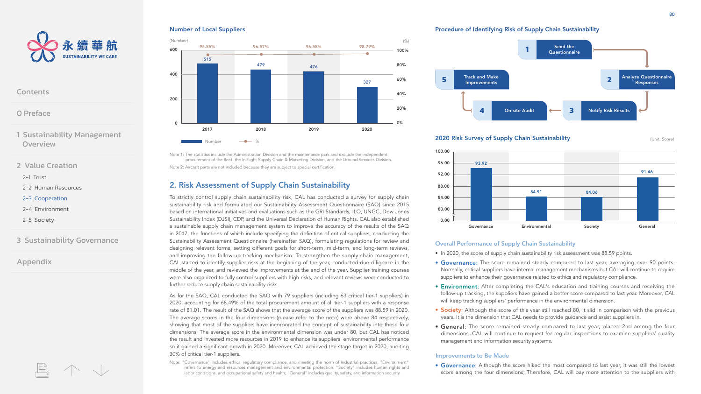

[0 Preface](#page--1-0)

[1 Sustainability Management](#page--1-0)  **Overview** 

[2 Value Creation](#page--1-0)

[2-1 Trust](#page--1-0)

[2-2 Human Resources](#page--1-0)

[2-3 Cooperation](#page-0-0)

[2-4 Environment](#page--1-0)

[2-5 Society](#page--1-0)

[3 Sustainability Governance](#page--1-0)

[Appendix](#page--1-0)

### Number of Local Suppliers



Note 1: The statistics include the Administration Division and the maintenance park and exclude the independent procurement of the fleet, the In-flight Supply Chain & Marketing Division, and the Ground Services Division. Note 2: Aircraft parts are not included because they are subject to special certification.

### 2. Risk Assessment of Supply Chain Sustainability

To strictly control supply chain sustainability risk, CAL has conducted a survey for supply chain sustainability risk and formulated our Sustainability Assessment Questionnaire (SAQ) since 2015 based on international initiatives and evaluations such as the GRI Standards, ILO, UNGC, Dow Jones Sustainability Index (DJSI), CDP, and the Universal Declaration of Human Rights. CAL also established a sustainable supply chain management system to improve the accuracy of the results of the SAQ in 2017, the functions of which include specifying the definition of critical suppliers, conducting the Sustainability Assessment Questionnaire (hereinafter SAQ), formulating regulations for review and designing relevant forms, setting different goals for short-term, mid-term, and long-term reviews, and improving the follow-up tracking mechanism. To strengthen the supply chain management, CAL started to identify supplier risks at the beginning of the year, conducted due diligence in the middle of the year, and reviewed the improvements at the end of the year. Supplier training courses were also organized to fully control suppliers with high risks, and relevant reviews were conducted to further reduce supply chain sustainability risks.

As for the SAQ, CAL conducted the SAQ with 79 suppliers (including 63 critical tier-1 suppliers) in 2020, accounting for 68.49% of the total procurement amount of all tier-1 suppliers with a response rate of 81.01. The result of the SAQ shows that the average score of the suppliers was 88.59 in 2020. The average scores in the four dimensions (please refer to the note) were above 84 respectively, showing that most of the suppliers have incorporated the concept of sustainability into these four dimensions. The average score in the environmental dimension was under 80, but CAL has noticed the result and invested more resources in 2019 to enhance its suppliers' environmental performance so it gained a significant growth in 2020. Moreover, CAL achieved the stage target in 2020, auditing 30% of critical tier-1 suppliers.

Note: "Governance" includes ethics, regulatory compliance, and meeting the norm of industrial practices; "Environment" refers to energy and resources management and environmental protection; "Society" includes human rights and labor conditions, and occupational safety and health; "General" includes quality, safety, and information security.

Procedure of Identifying Risk of Supply Chain Sustainability



### **2020 Risk Survey of Supply Chain Sustainability Example 2020 Risk Survey of Supply Chain Sustainability**



### Overall Performance of Supply Chain Sustainability

- In 2020, the score of supply chain sustainability risk assessment was 88.59 points.
- Governance: The score remained steady compared to last year, averaging over 90 points. Normally, critical suppliers have internal management mechanisms but CAL will continue to require suppliers to enhance their governance related to ethics and regulatory compliance.
- Environment: After completing the CAL's education and training courses and receiving the follow-up tracking, the suppliers have gained a better score compared to last year. Moreover, CAL will keep tracking suppliers' performance in the environmental dimension.
- Society: Although the score of this year still reached 80, it slid in comparison with the previous years. It is the dimension that CAL needs to provide guidance and assist suppliers in.
- General: The score remained steady compared to last year, placed 2nd among the four dimensions. CAL will continue to request for regular inspections to examine suppliers' quality management and information security systems.

#### Improvements to Be Made

• Governance: Although the score hiked the most compared to last year, it was still the lowest score among the four dimensions; Therefore, CAL will pay more attention to the suppliers with